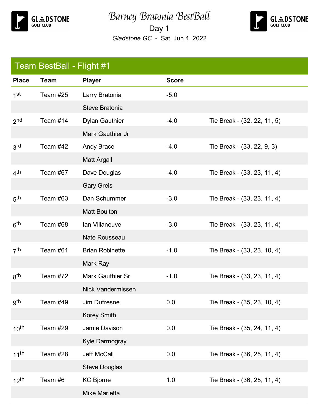

Barney Bratonia BestBall

Day 1 *Gladstone GC* - Sat. Jun 4, 2022



| Team BestBall - Flight #1 |             |                         |              |                             |
|---------------------------|-------------|-------------------------|--------------|-----------------------------|
| <b>Place</b>              | <b>Team</b> | <b>Player</b>           | <b>Score</b> |                             |
| 1 <sup>st</sup>           | Team #25    | Larry Bratonia          | $-5.0$       |                             |
|                           |             | Steve Bratonia          |              |                             |
| 2 <sub>nd</sub>           | Team #14    | <b>Dylan Gauthier</b>   | $-4.0$       | Tie Break - (32, 22, 11, 5) |
|                           |             | Mark Gauthier Jr        |              |                             |
| 3 <sup>rd</sup>           | Team #42    | Andy Brace              | $-4.0$       | Tie Break - (33, 22, 9, 3)  |
|                           |             | <b>Matt Argall</b>      |              |                             |
| 4 <sup>th</sup>           | Team #67    | Dave Douglas            | $-4.0$       | Tie Break - (33, 23, 11, 4) |
|                           |             | <b>Gary Greis</b>       |              |                             |
| 5 <sup>th</sup>           | Team #63    | Dan Schummer            | $-3.0$       | Tie Break - (33, 23, 11, 4) |
|                           |             | <b>Matt Boulton</b>     |              |                             |
| 6 <sup>th</sup>           | Team #68    | Ian Villaneuve          | $-3.0$       | Tie Break - (33, 23, 11, 4) |
|                           |             | <b>Nate Rousseau</b>    |              |                             |
| 7 <sup>th</sup>           | Team #61    | <b>Brian Robinette</b>  | $-1.0$       | Tie Break - (33, 23, 10, 4) |
|                           |             | Mark Ray                |              |                             |
| 8 <sup>th</sup>           | Team #72    | <b>Mark Gauthier Sr</b> | $-1.0$       | Tie Break - (33, 23, 11, 4) |
|                           |             | Nick Vandermissen       |              |                             |
| gth                       | Team #49    | Jim Dufresne            | 0.0          | Tie Break - (35, 23, 10, 4) |
|                           |             | <b>Korey Smith</b>      |              |                             |
| 10 <sup>th</sup>          | Team #29    | Jamie Davison           | 0.0          | Tie Break - (35, 24, 11, 4) |
|                           |             | Kyle Darmogray          |              |                             |
| $11^{th}$                 | Team #28    | Jeff McCall             | 0.0          | Tie Break - (36, 25, 11, 4) |
|                           |             | <b>Steve Douglas</b>    |              |                             |
| 12 <sup>th</sup>          | Team #6     | <b>KC Bjorne</b>        | 1.0          | Tie Break - (36, 25, 11, 4) |
|                           |             | Mike Marietta           |              |                             |
|                           |             |                         |              |                             |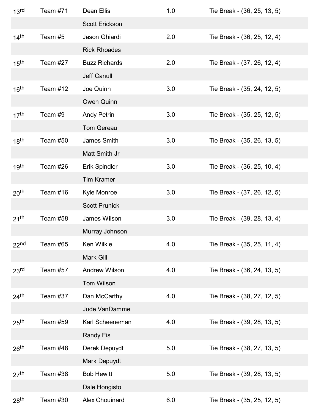| 13 <sup>rd</sup>   | Team #71 | Dean Ellis           | 1.0 | Tie Break - (36, 25, 13, 5) |
|--------------------|----------|----------------------|-----|-----------------------------|
|                    |          | Scott Erickson       |     |                             |
| $14$ <sup>th</sup> | Team #5  | Jason Ghiardi        | 2.0 | Tie Break - (36, 25, 12, 4) |
|                    |          | <b>Rick Rhoades</b>  |     |                             |
| 15 <sup>th</sup>   | Team #27 | <b>Buzz Richards</b> | 2.0 | Tie Break - (37, 26, 12, 4) |
|                    |          | Jeff Canull          |     |                             |
| 16 <sup>th</sup>   | Team #12 | Joe Quinn            | 3.0 | Tie Break - (35, 24, 12, 5) |
|                    |          | Owen Quinn           |     |                             |
| 17 <sup>th</sup>   | Team #9  | <b>Andy Petrin</b>   | 3.0 | Tie Break - (35, 25, 12, 5) |
|                    |          | <b>Tom Gereau</b>    |     |                             |
| 18 <sup>th</sup>   | Team #50 | James Smith          | 3.0 | Tie Break - (35, 26, 13, 5) |
|                    |          | Matt Smith Jr        |     |                             |
| 19 <sup>th</sup>   | Team #26 | Erik Spindler        | 3.0 | Tie Break - (36, 25, 10, 4) |
|                    |          | <b>Tim Kramer</b>    |     |                             |
| 20 <sup>th</sup>   | Team #16 | Kyle Monroe          | 3.0 | Tie Break - (37, 26, 12, 5) |
|                    |          | <b>Scott Prunick</b> |     |                             |
| 21 <sup>th</sup>   | Team #58 | James Wilson         | 3.0 | Tie Break - (39, 28, 13, 4) |
|                    |          | Murray Johnson       |     |                             |
| 22 <sup>nd</sup>   | Team #65 | Ken Wilkie           | 4.0 | Tie Break - (35, 25, 11, 4) |
|                    |          | Mark Gill            |     |                             |
| 23 <sup>rd</sup>   | Team #57 | <b>Andrew Wilson</b> | 4.0 | Tie Break - (36, 24, 13, 5) |
|                    |          | Tom Wilson           |     |                             |
| $24$ <sup>th</sup> | Team #37 | Dan McCarthy         | 4.0 | Tie Break - (38, 27, 12, 5) |
|                    |          | <b>Jude VanDamme</b> |     |                             |
| 25 <sup>th</sup>   | Team #59 | Karl Scheeneman      | 4.0 | Tie Break - (39, 28, 13, 5) |
|                    |          | <b>Randy Eis</b>     |     |                             |
| 26 <sup>th</sup>   | Team #48 | Derek Depuydt        | 5.0 | Tie Break - (38, 27, 13, 5) |
|                    |          | Mark Depuydt         |     |                             |
| 27 <sup>th</sup>   | Team #38 | <b>Bob Hewitt</b>    | 5.0 | Tie Break - (39, 28, 13, 5) |
|                    |          | Dale Hongisto        |     |                             |
| 28 <sup>th</sup>   | Team #30 | Alex Chouinard       | 6.0 | Tie Break - (35, 25, 12, 5) |
|                    |          |                      |     |                             |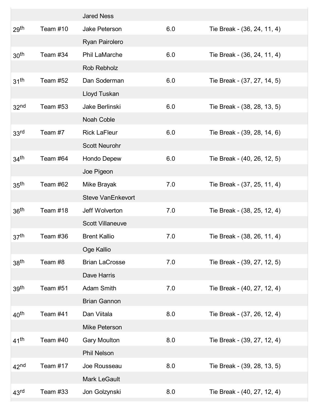|                    |          | <b>Jared Ness</b>        |     |                             |
|--------------------|----------|--------------------------|-----|-----------------------------|
| 29 <sup>th</sup>   | Team #10 | Jake Peterson            | 6.0 | Tie Break - (36, 24, 11, 4) |
|                    |          | Ryan Pairolero           |     |                             |
| 30 <sup>th</sup>   | Team #34 | <b>Phil LaMarche</b>     | 6.0 | Tie Break - (36, 24, 11, 4) |
|                    |          | Rob Rebholz              |     |                             |
| 31 <sup>th</sup>   | Team #52 | Dan Soderman             | 6.0 | Tie Break - (37, 27, 14, 5) |
|                    |          | Lloyd Tuskan             |     |                             |
| 32 <sup>nd</sup>   | Team #53 | Jake Berlinski           | 6.0 | Tie Break - (38, 28, 13, 5) |
|                    |          | <b>Noah Coble</b>        |     |                             |
| 33 <sup>rd</sup>   | Team #7  | <b>Rick LaFleur</b>      | 6.0 | Tie Break - (39, 28, 14, 6) |
|                    |          | <b>Scott Neurohr</b>     |     |                             |
| 34 <sup>th</sup>   | Team #64 | Hondo Depew              | 6.0 | Tie Break - (40, 26, 12, 5) |
|                    |          | Joe Pigeon               |     |                             |
| 35 <sup>th</sup>   | Team #62 | Mike Brayak              | 7.0 | Tie Break - (37, 25, 11, 4) |
|                    |          | <b>Steve VanEnkevort</b> |     |                             |
| 36 <sup>th</sup>   | Team #18 | Jeff Wolverton           | 7.0 | Tie Break - (38, 25, 12, 4) |
|                    |          | <b>Scott Villaneuve</b>  |     |                             |
| 37 <sup>th</sup>   | Team #36 | <b>Brent Kallio</b>      | 7.0 | Tie Break - (38, 26, 11, 4) |
|                    |          | Oge Kallio               |     |                             |
| 38 <sup>th</sup>   | Team #8  | <b>Brian LaCrosse</b>    | 7.0 | Tie Break - (39, 27, 12, 5) |
|                    |          | Dave Harris              |     |                             |
| 39 <sup>th</sup>   | Team #51 | <b>Adam Smith</b>        | 7.0 | Tie Break - (40, 27, 12, 4) |
|                    |          | <b>Brian Gannon</b>      |     |                             |
| 40 <sup>th</sup>   | Team #41 | Dan Viitala              | 8.0 | Tie Break - (37, 26, 12, 4) |
|                    |          | Mike Peterson            |     |                             |
| $41$ <sup>th</sup> | Team #40 | <b>Gary Moulton</b>      | 8.0 | Tie Break - (39, 27, 12, 4) |
|                    |          | <b>Phil Nelson</b>       |     |                             |
| 42 <sup>nd</sup>   | Team #17 | Joe Rousseau             | 8.0 | Tie Break - (39, 28, 13, 5) |
|                    |          | Mark LeGault             |     |                             |
| 43 <sup>rd</sup>   | Team #33 | Jon Golzynski            | 8.0 | Tie Break - (40, 27, 12, 4) |
|                    |          |                          |     |                             |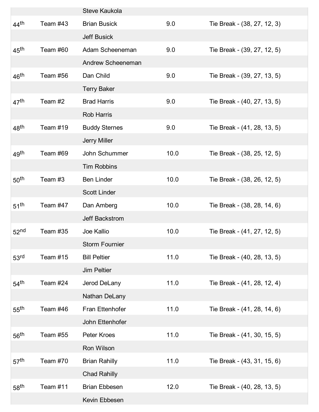|                    |          | <b>Steve Kaukola</b>  |      |                             |
|--------------------|----------|-----------------------|------|-----------------------------|
| $44$ <sup>th</sup> | Team #43 | <b>Brian Busick</b>   | 9.0  | Tie Break - (38, 27, 12, 3) |
|                    |          | <b>Jeff Busick</b>    |      |                             |
| $45^{\text{th}}$   | Team #60 | Adam Scheeneman       | 9.0  | Tie Break - (39, 27, 12, 5) |
|                    |          | Andrew Scheeneman     |      |                             |
| 46 <sup>th</sup>   | Team #56 | Dan Child             | 9.0  | Tie Break - (39, 27, 13, 5) |
|                    |          | <b>Terry Baker</b>    |      |                             |
| 47 <sup>th</sup>   | Team #2  | <b>Brad Harris</b>    | 9.0  | Tie Break - (40, 27, 13, 5) |
|                    |          | <b>Rob Harris</b>     |      |                             |
| 48 <sup>th</sup>   | Team #19 | <b>Buddy Sternes</b>  | 9.0  | Tie Break - (41, 28, 13, 5) |
|                    |          | <b>Jerry Miller</b>   |      |                             |
| 49 <sup>th</sup>   | Team #69 | John Schummer         | 10.0 | Tie Break - (38, 25, 12, 5) |
|                    |          | <b>Tim Robbins</b>    |      |                             |
| 50 <sup>th</sup>   | Team #3  | <b>Ben Linder</b>     | 10.0 | Tie Break - (38, 26, 12, 5) |
|                    |          | <b>Scott Linder</b>   |      |                             |
| $51^{\text{th}}$   | Team #47 | Dan Amberg            | 10.0 | Tie Break - (38, 28, 14, 6) |
|                    |          | Jeff Backstrom        |      |                             |
| 52 <sup>nd</sup>   | Team #35 | Joe Kallio            | 10.0 | Tie Break - (41, 27, 12, 5) |
|                    |          | <b>Storm Fournier</b> |      |                             |
| 53 <sup>rd</sup>   | Team #15 | <b>Bill Peltier</b>   | 11.0 | Tie Break - (40, 28, 13, 5) |
|                    |          | <b>Jim Peltier</b>    |      |                             |
| $54$ <sup>th</sup> | Team #24 | Jerod DeLany          | 11.0 | Tie Break - (41, 28, 12, 4) |
|                    |          | Nathan DeLany         |      |                             |
| 55 <sup>th</sup>   | Team #46 | Fran Ettenhofer       | 11.0 | Tie Break - (41, 28, 14, 6) |
|                    |          | John Ettenhofer       |      |                             |
| 56 <sup>th</sup>   | Team #55 | Peter Kroes           | 11.0 | Tie Break - (41, 30, 15, 5) |
|                    |          | Ron Wilson            |      |                             |
| 57 <sup>th</sup>   | Team #70 | <b>Brian Rahilly</b>  | 11.0 | Tie Break - (43, 31, 15, 6) |
|                    |          | <b>Chad Rahilly</b>   |      |                             |
| 58 <sup>th</sup>   | Team #11 | <b>Brian Ebbesen</b>  | 12.0 | Tie Break - (40, 28, 13, 5) |
|                    |          | Kevin Ebbesen         |      |                             |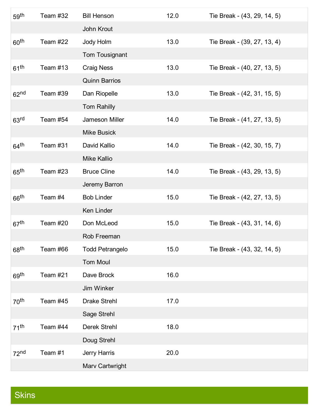| 59 <sup>th</sup>   | Team #32 | <b>Bill Henson</b>     | 12.0 | Tie Break - (43, 29, 14, 5) |
|--------------------|----------|------------------------|------|-----------------------------|
|                    |          | John Krout             |      |                             |
| 60 <sup>th</sup>   | Team #22 | Jody Holm              | 13.0 | Tie Break - (39, 27, 13, 4) |
|                    |          | Tom Tousignant         |      |                             |
| $61^{\text{th}}$   | Team #13 | <b>Craig Ness</b>      | 13.0 | Tie Break - (40, 27, 13, 5) |
|                    |          | <b>Quinn Barrios</b>   |      |                             |
| 62 <sup>nd</sup>   | Team #39 | Dan Riopelle           | 13.0 | Tie Break - (42, 31, 15, 5) |
|                    |          | Tom Rahilly            |      |                             |
| 63 <sup>rd</sup>   | Team #54 | Jameson Miller         | 14.0 | Tie Break - (41, 27, 13, 5) |
|                    |          | <b>Mike Busick</b>     |      |                             |
| $64^{\text{th}}$   | Team #31 | David Kallio           | 14.0 | Tie Break - (42, 30, 15, 7) |
|                    |          | <b>Mike Kallio</b>     |      |                             |
| $65^{\text{th}}$   | Team #23 | <b>Bruce Cline</b>     | 14.0 | Tie Break - (43, 29, 13, 5) |
|                    |          | Jeremy Barron          |      |                             |
| $66$ <sup>th</sup> | Team #4  | <b>Bob Linder</b>      | 15.0 | Tie Break - (42, 27, 13, 5) |
|                    |          | Ken Linder             |      |                             |
| 67 <sup>th</sup>   | Team #20 | Don McLeod             | 15.0 | Tie Break - (43, 31, 14, 6) |
|                    |          | Rob Freeman            |      |                             |
| 68 <sup>th</sup>   | Team #66 | <b>Todd Petrangelo</b> | 15.0 | Tie Break - (43, 32, 14, 5) |
|                    |          | <b>Tom Moul</b>        |      |                             |
| 69 <sup>th</sup>   | Team #21 | Dave Brock             | 16.0 |                             |
|                    |          | Jim Winker             |      |                             |
| 70 <sup>th</sup>   | Team #45 | <b>Drake Strehl</b>    | 17.0 |                             |
|                    |          | Sage Strehl            |      |                             |
| $71^{th}$          | Team #44 | <b>Derek Strehl</b>    | 18.0 |                             |
|                    |          | Doug Strehl            |      |                             |
| 72 <sup>nd</sup>   | Team #1  | Jerry Harris           | 20.0 |                             |
|                    |          | Marv Cartwright        |      |                             |

## Skins